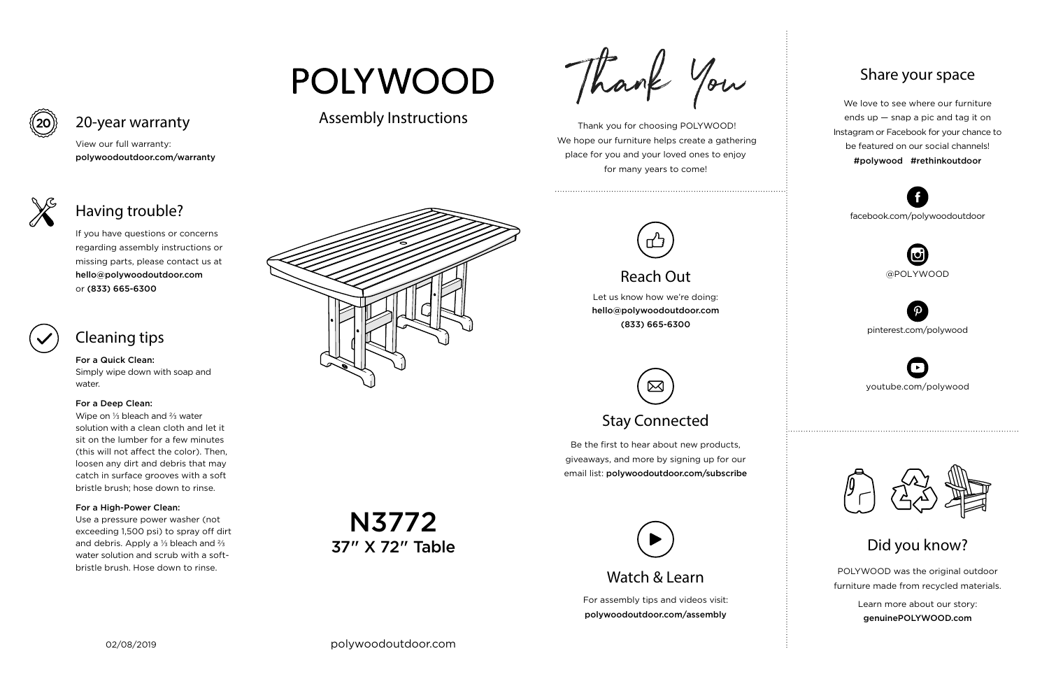For assembly tips and videos visit: polywoodoutdoor.com/assembly

 Thank you for choosing POLYWOOD! We hope our furniture helps create a gathering place for you and your loved ones to enjoy for many years to come!





Let us know how we're doing: hello@polywoodoutdoor.com (833) 665-6300

Be the first to hear about new products, giveaways, and more by signing up for our email list: polywoodoutdoor.com/subscribe

> POLYWOOD was the original outdoor furniture made from recycled materials.

> > Learn more about our story: genuinePOLYWOOD.com

We love to see where our furniture ends up — snap a pic and tag it on Instagram or Facebook for your chance to be featured on our social channels! #polywood #rethinkoutdoor



youtube.com/polywood



pinterest.com/polywood



facebook.com/polywoodoutdoor





# **POLYWOOD**

### Assembly Instructions

Thank You



## Reach Out

# Stay Connected

ᢂ

#### Share your space

Did you know?

View our full warranty: polywoodoutdoor.com/warranty



#### For a Quick Clean:

Simply wipe down with soap and water.

#### For a Deep Clean:

Wipe on ⅓ bleach and ⅔ water solution with a clean cloth and let it sit on the lumber for a few minutes (this will not affect the color). Then, loosen any dirt and debris that may catch in surface grooves with a soft bristle brush; hose down to rinse.

#### For a High-Power Clean:

Use a pressure power washer (not exceeding 1,500 psi) to spray off dirt and debris. Apply a ⅓ bleach and ⅔ water solution and scrub with a softbristle brush. Hose down to rinse.

If you have questions or concerns regarding assembly instructions or missing parts, please contact us at hello@polywoodoutdoor.com or (833) 665-6300



# 20-year warranty

# Having trouble?

### Cleaning tips

N3772 37" X 72" Table